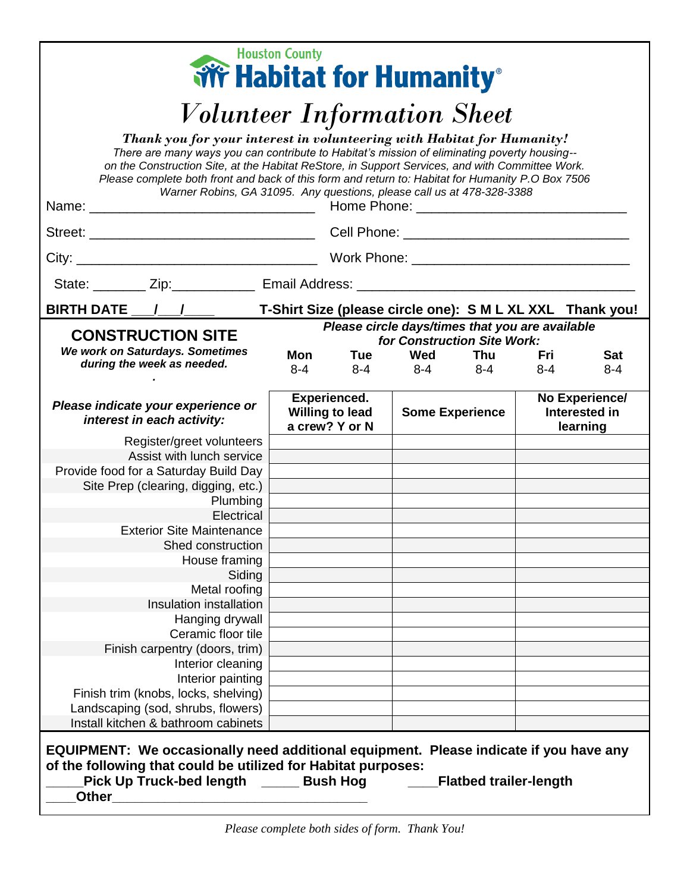| <b>Houston County</b>                                                                                                                                                                                                                                                                                                                                                                                                                                                                                                                                                                                                  |                                                                 |     |                        |                               |                                             |            |  |  |
|------------------------------------------------------------------------------------------------------------------------------------------------------------------------------------------------------------------------------------------------------------------------------------------------------------------------------------------------------------------------------------------------------------------------------------------------------------------------------------------------------------------------------------------------------------------------------------------------------------------------|-----------------------------------------------------------------|-----|------------------------|-------------------------------|---------------------------------------------|------------|--|--|
| <b>Wr Habitat for Humanity</b> ®<br><b>Volunteer Information Sheet</b><br>Thank you for your interest in volunteering with Habitat for Humanity!<br>There are many ways you can contribute to Habitat's mission of eliminating poverty housing--<br>on the Construction Site, at the Habitat ReStore, in Support Services, and with Committee Work.<br>Please complete both front and back of this form and return to: Habitat for Humanity P.O Box 7506<br>Warner Robins, GA 31095. Any questions, please call us at 478-328-3388<br>State: ________ Zip: _____________ Email Address: ______________________________ |                                                                 |     |                        |                               |                                             |            |  |  |
| BIRTH DATE / /<br>T-Shirt Size (please circle one): S M L XL XXL Thank you!                                                                                                                                                                                                                                                                                                                                                                                                                                                                                                                                            |                                                                 |     |                        |                               |                                             |            |  |  |
| Please circle days/times that you are available<br><b>CONSTRUCTION SITE</b><br>for Construction Site Work:                                                                                                                                                                                                                                                                                                                                                                                                                                                                                                             |                                                                 |     |                        |                               |                                             |            |  |  |
| We work on Saturdays. Sometimes                                                                                                                                                                                                                                                                                                                                                                                                                                                                                                                                                                                        | <b>Mon</b>                                                      | Tue | Wed                    | Thu                           | Fri                                         | <b>Sat</b> |  |  |
| during the week as needed.                                                                                                                                                                                                                                                                                                                                                                                                                                                                                                                                                                                             | $8-4$                                                           | 8-4 |                        | $8-4$ $8-4$                   | $8 - 4$                                     | $8 - 4$    |  |  |
| Please indicate your experience or<br>interest in each activity:                                                                                                                                                                                                                                                                                                                                                                                                                                                                                                                                                       | <b>Experienced.</b><br><b>Willing to lead</b><br>a crew? Y or N |     | <b>Some Experience</b> |                               | No Experience/<br>Interested in<br>learning |            |  |  |
| Register/greet volunteers                                                                                                                                                                                                                                                                                                                                                                                                                                                                                                                                                                                              |                                                                 |     |                        |                               |                                             |            |  |  |
| Assist with lunch service                                                                                                                                                                                                                                                                                                                                                                                                                                                                                                                                                                                              |                                                                 |     |                        |                               |                                             |            |  |  |
| Provide food for a Saturday Build Day                                                                                                                                                                                                                                                                                                                                                                                                                                                                                                                                                                                  |                                                                 |     |                        |                               |                                             |            |  |  |
| Site Prep (clearing, digging, etc.)<br>Plumbing                                                                                                                                                                                                                                                                                                                                                                                                                                                                                                                                                                        |                                                                 |     |                        |                               |                                             |            |  |  |
| Electrical                                                                                                                                                                                                                                                                                                                                                                                                                                                                                                                                                                                                             |                                                                 |     |                        |                               |                                             |            |  |  |
| <b>Exterior Site Maintenance</b>                                                                                                                                                                                                                                                                                                                                                                                                                                                                                                                                                                                       |                                                                 |     |                        |                               |                                             |            |  |  |
| <b>Shed construction</b>                                                                                                                                                                                                                                                                                                                                                                                                                                                                                                                                                                                               |                                                                 |     |                        |                               |                                             |            |  |  |
| House framing                                                                                                                                                                                                                                                                                                                                                                                                                                                                                                                                                                                                          |                                                                 |     |                        |                               |                                             |            |  |  |
| Siding                                                                                                                                                                                                                                                                                                                                                                                                                                                                                                                                                                                                                 |                                                                 |     |                        |                               |                                             |            |  |  |
| Metal roofing                                                                                                                                                                                                                                                                                                                                                                                                                                                                                                                                                                                                          |                                                                 |     |                        |                               |                                             |            |  |  |
| Insulation installation                                                                                                                                                                                                                                                                                                                                                                                                                                                                                                                                                                                                |                                                                 |     |                        |                               |                                             |            |  |  |
| Hanging drywall                                                                                                                                                                                                                                                                                                                                                                                                                                                                                                                                                                                                        |                                                                 |     |                        |                               |                                             |            |  |  |
| Ceramic floor tile                                                                                                                                                                                                                                                                                                                                                                                                                                                                                                                                                                                                     |                                                                 |     |                        |                               |                                             |            |  |  |
| Finish carpentry (doors, trim)                                                                                                                                                                                                                                                                                                                                                                                                                                                                                                                                                                                         |                                                                 |     |                        |                               |                                             |            |  |  |
| Interior cleaning                                                                                                                                                                                                                                                                                                                                                                                                                                                                                                                                                                                                      |                                                                 |     |                        |                               |                                             |            |  |  |
| Interior painting                                                                                                                                                                                                                                                                                                                                                                                                                                                                                                                                                                                                      |                                                                 |     |                        |                               |                                             |            |  |  |
| Finish trim (knobs, locks, shelving)                                                                                                                                                                                                                                                                                                                                                                                                                                                                                                                                                                                   |                                                                 |     |                        |                               |                                             |            |  |  |
| Landscaping (sod, shrubs, flowers)                                                                                                                                                                                                                                                                                                                                                                                                                                                                                                                                                                                     |                                                                 |     |                        |                               |                                             |            |  |  |
| Install kitchen & bathroom cabinets                                                                                                                                                                                                                                                                                                                                                                                                                                                                                                                                                                                    |                                                                 |     |                        |                               |                                             |            |  |  |
| EQUIPMENT: We occasionally need additional equipment. Please indicate if you have any<br>of the following that could be utilized for Habitat purposes:<br>Pick Up Truck-bed length ______ Bush Hog _____                                                                                                                                                                                                                                                                                                                                                                                                               |                                                                 |     |                        | <b>Flatbed trailer-length</b> |                                             |            |  |  |